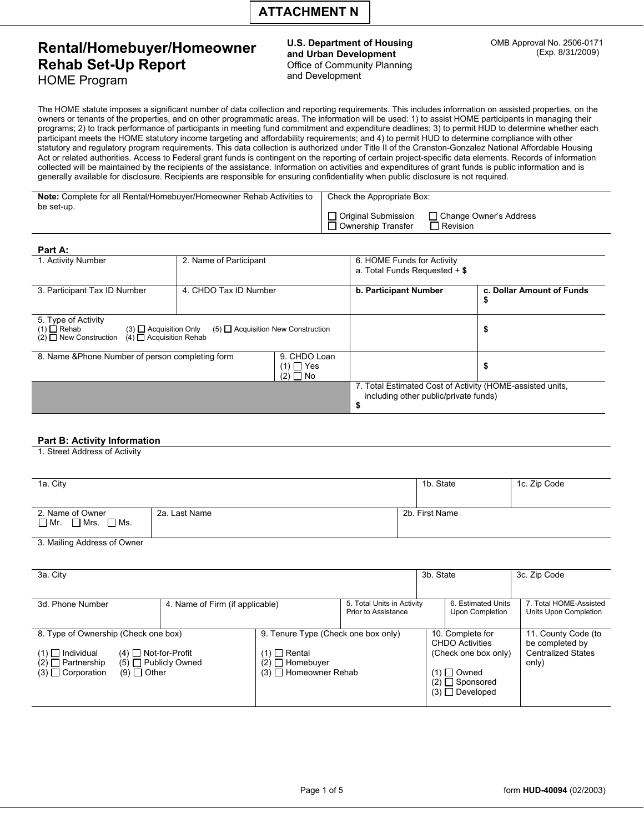# **Rental/Homebuyer/Homeowner** U.S. Department of Housing OMB Approval No. 2506-0171 **Rental/Homebuyer/Homeowner** and Urban Development (Exp. 8/31/2009) **Rehab Set-Up Report**<br>  $\begin{array}{ccc}\n\bullet & \bullet & \bullet & \bullet & \bullet & \bullet & \bullet \\
\downarrow & \bullet & \bullet & \bullet & \bullet & \bullet & \bullet & \bullet \\
\downarrow & \bullet & \bullet & \bullet & \bullet & \bullet & \bullet & \bullet & \bullet \\
\downarrow & \bullet & \bullet & \bullet & \bullet & \bullet & \bullet & \bullet & \bullet & \bullet \\
\downarrow & \bullet & \bullet & \bullet & \bullet & \bullet & \bullet & \bullet & \bullet & \bullet & \bullet \\
\downarrow & \bullet & \bullet & \bullet & \bullet & \bullet & \bullet & \bullet & \bullet & \bullet & \bullet & \bullet & \bullet \\
\downarrow & \bullet & \bullet & \$ **HOME Program**

The HOME statute imposes a significant number of data collection and reporting requirements. This includes information on assisted properties, on the owners or tenants of the properties, and on other programmatic areas. The information will be used: 1) to assist HOME participants in managing their programs; 2) to track performance of participants in meeting fund commitment and expenditure deadlines; 3) to permit HUD to determine whether each participant meets the HOME statutory income targeting and affordability requirements; and 4) to permit HUD to determine compliance with other statutory and regulatory program requirements. This data collection is authorized under Title II of the Cranston-Gonzalez National Affordable Housing Act or related authorities. Access to Federal grant funds is contingent on the reporting of certain project-specific data elements. Records of information collected will be maintained by the recipients of the assistance. Information on activities and expenditures of grant funds is public information and is generally available for disclosure. Recipients are responsible for ensuring confidentiality when public disclosure is not required.

| <b>Note:</b> Complete for all Rental/Homebuyer/Homeowner Rehab Activities to<br>be set-up. | Check the Appropriate Box:                                                                        |  |  |  |  |
|--------------------------------------------------------------------------------------------|---------------------------------------------------------------------------------------------------|--|--|--|--|
|                                                                                            | □ Original Submission<br>□ Change Owner's Address<br>$\Box$ Revision<br>$\Box$ Ownership Transfer |  |  |  |  |

| Part A:                                                                                                                                |                                              |                                                                                                          |                           |  |  |
|----------------------------------------------------------------------------------------------------------------------------------------|----------------------------------------------|----------------------------------------------------------------------------------------------------------|---------------------------|--|--|
| 1. Activity Number                                                                                                                     | 2. Name of Participant                       | 6. HOME Funds for Activity<br>a. Total Funds Requested $+$ \$                                            |                           |  |  |
| 3. Participant Tax ID Number                                                                                                           | 4. CHDO Tax ID Number                        | b. Participant Number                                                                                    | c. Dollar Amount of Funds |  |  |
| 5. Type of Activity<br>$(1)$ $\Box$ Rehab<br>$(3)$ $\Box$ Acquisition Only<br>(2) $\Box$ New Construction (4) $\Box$ Acquisition Rehab | $(5)$ $\Box$ Acquisition New Construction    |                                                                                                          | ъ                         |  |  |
| 8. Name & Phone Number of person completing form                                                                                       | 9. CHDO Loan<br>$(1)$ $\Box$ Yes<br>$(2)$ No |                                                                                                          | ъ                         |  |  |
|                                                                                                                                        |                                              | 7. Total Estimated Cost of Activity (HOME-assisted units,<br>including other public/private funds)<br>\$ |                           |  |  |

## **Part B: Activity Information**

1. Street Address of Activity

| 1a. City                                              |               |                | 1b. State | 1c. Zip Code |
|-------------------------------------------------------|---------------|----------------|-----------|--------------|
| 2. Name of Owner<br>$\Box$ Mr. $\Box$ Mrs. $\Box$ Ms. | 2a. Last Name | 2b. First Name |           |              |

3. Mailing Address of Owner

| 3a. City                                                                                                                                                                                   |  |                                                                                               |                                                   |                                                                                                                                | 3b. State                             | 3c. Zip Code                                                                 |  |
|--------------------------------------------------------------------------------------------------------------------------------------------------------------------------------------------|--|-----------------------------------------------------------------------------------------------|---------------------------------------------------|--------------------------------------------------------------------------------------------------------------------------------|---------------------------------------|------------------------------------------------------------------------------|--|
| 4. Name of Firm (if applicable)<br>3d. Phone Number                                                                                                                                        |  |                                                                                               | 5. Total Units in Activity<br>Prior to Assistance |                                                                                                                                | 6. Estimated Units<br>Upon Completion | 7. Total HOME-Assisted<br>Units Upon Completion                              |  |
| 8. Type of Ownership (Check one box)<br>$(4)$ Not-for-Profit<br>$(1)$ Rental<br>$(1)$   Individual<br>$(2)$ Partnership<br>$(5)$ Publicly Owned<br>$(9)$ Other<br>$(3)$ $\Box$ Corporation |  | 9. Tenure Type (Check one box only)<br>$(2)$ $\Box$ Homebuyer<br>$(3)$ $\Box$ Homeowner Rehab |                                                   | 10. Complete for<br><b>CHDO Activities</b><br>(Check one box only)<br>$(1)$ Owned<br>$(2)$ Sponsored<br>$(3)$ $\Box$ Developed |                                       | 11. County Code (to<br>be completed by<br><b>Centralized States</b><br>only) |  |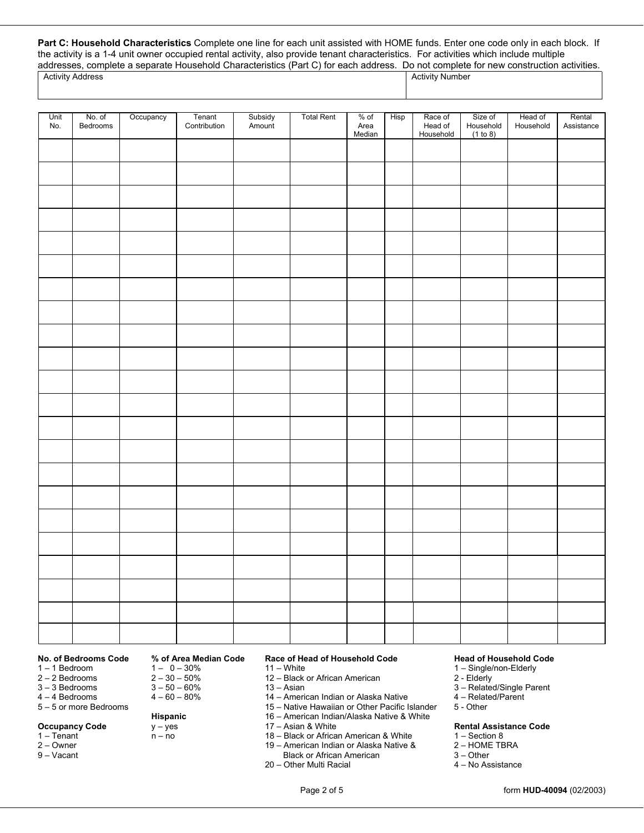**Part C: Household Characteristics** Complete one line for each unit assisted with HOME funds. Enter one code only in each block. If the activity is a 1-4 unit owner occupied rental activity, also provide tenant characteristics. For activities which include multiple addresses, complete a separate Household Characteristics (Part C) for each address. Do not complete for new construction activities.

## Activity Address **Activity Number** Activity Number

| Unit<br>No. | No. of<br>Bedrooms | Occupancy | Tenant<br>Contribution | Subsidy<br>Amount | <b>Total Rent</b> | $%$ of<br>Area<br>Median | Hisp | Race of<br>Head of<br>Household | Size of<br>Household<br>(1 to 8) | Head of<br>Household | Rental<br>Assistance |
|-------------|--------------------|-----------|------------------------|-------------------|-------------------|--------------------------|------|---------------------------------|----------------------------------|----------------------|----------------------|
|             |                    |           |                        |                   |                   |                          |      |                                 |                                  |                      |                      |
|             |                    |           |                        |                   |                   |                          |      |                                 |                                  |                      |                      |
|             |                    |           |                        |                   |                   |                          |      |                                 |                                  |                      |                      |
|             |                    |           |                        |                   |                   |                          |      |                                 |                                  |                      |                      |
|             |                    |           |                        |                   |                   |                          |      |                                 |                                  |                      |                      |
|             |                    |           |                        |                   |                   |                          |      |                                 |                                  |                      |                      |
|             |                    |           |                        |                   |                   |                          |      |                                 |                                  |                      |                      |
|             |                    |           |                        |                   |                   |                          |      |                                 |                                  |                      |                      |
|             |                    |           |                        |                   |                   |                          |      |                                 |                                  |                      |                      |
|             |                    |           |                        |                   |                   |                          |      |                                 |                                  |                      |                      |
|             |                    |           |                        |                   |                   |                          |      |                                 |                                  |                      |                      |
|             |                    |           |                        |                   |                   |                          |      |                                 |                                  |                      |                      |
|             |                    |           |                        |                   |                   |                          |      |                                 |                                  |                      |                      |
|             |                    |           |                        |                   |                   |                          |      |                                 |                                  |                      |                      |
|             |                    |           |                        |                   |                   |                          |      |                                 |                                  |                      |                      |
|             |                    |           |                        |                   |                   |                          |      |                                 |                                  |                      |                      |
|             |                    |           |                        |                   |                   |                          |      |                                 |                                  |                      |                      |
|             |                    |           |                        |                   |                   |                          |      |                                 |                                  |                      |                      |
|             |                    |           |                        |                   |                   |                          |      |                                 |                                  |                      |                      |
|             |                    |           |                        |                   |                   |                          |      |                                 |                                  |                      |                      |
|             |                    |           |                        |                   |                   |                          |      |                                 |                                  |                      |                      |
|             |                    |           |                        |                   |                   |                          |      |                                 |                                  |                      |                      |

- $1 1$  Bedroom 2 – 2 Bedrooms
- 3 3 Bedrooms
- 4 4 Bedrooms
- 5 5 or more Bedrooms
- **Occupancy Code**
- 1 Tenant
- 2 Owner<br>9 Vacant
- 

- $2 30 50%$  $1 - 0 - 30%$ 2 – 30 – 50% 3 – 50 – 60% 4 – 60 – 80% 11 – White
	-

# $4 - 60 - 80%$

- **Hispanic**
- $y yes$
- n no
- 
- **No. of Bedrooms Code % of Area Median Code Race of Head of Household Code Head of Household Code** 
	-
	- 12 Black or African American
	- $13 Asian$
	- 14 American Indian or Alaska Native
	- 15 Native Hawaiian or Other Pacific Islander
	- 16 American Indian/Alaska Native & White
	- 17 Asian & White
	- 18 Black or African American & White
	- 19 American Indian or Alaska Native &
		-
	- 20 Other Multi Racial
		-

- 1 Single/non-Elderly
- 2 Elderly
- 3 Related/Single Parent
- 4 Related/Parent
- 5 Other

## **Rental Assistance Code**

- 
- 1 Section 8<br>2 HOME TBRA
- 
- Black or African American **3** Other<br>
Other Multi Racial **3** No Assistance

### Page 2 of 5 form **HUD-40094** (02/2003)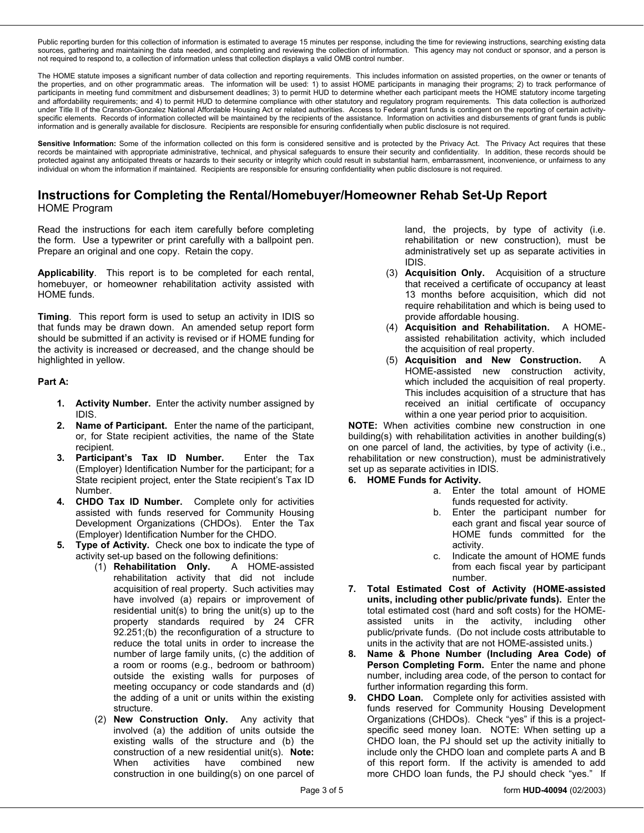Public reporting burden for this collection of information is estimated to average 15 minutes per response, including the time for reviewing instructions, searching existing data sources, gathering and maintaining the data needed, and completing and reviewing the collection of information. This agency may not conduct or sponsor, and a person is not required to respond to, a collection of information unless that collection displays a valid OMB control number.

The HOME statute imposes a significant number of data collection and reporting requirements. This includes information on assisted properties, on the owner or tenants of the properties, and on other programmatic areas. The information will be used: 1) to assist HOME participants in managing their programs; 2) to track performance of participants in meeting fund commitment and disbursement deadlines; 3) to permit HUD to determine whether each participant meets the HOME statutory income targeting and affordability requirements; and 4) to permit HUD to determine compliance with other statutory and regulatory program requirements. This data collection is authorized under Title II of the Cranston-Gonzalez National Affordable Housing Act or related authorities. Access to Federal grant funds is contingent on the reporting of certain activityspecific elements. Records of information collected will be maintained by the recipients of the assistance. Information on activities and disbursements of grant funds is public information and is generally available for disclosure. Recipients are responsible for ensuring confidentially when public disclosure is not required.

Sensitive Information: Some of the information collected on this form is considered sensitive and is protected by the Privacy Act. The Privacy Act requires that these records be maintained with appropriate administrative, technical, and physical safeguards to ensure their security and confidentiality. In addition, these records should be protected against any anticipated threats or hazards to their security or integrity which could result in substantial harm, embarrassment, inconvenience, or unfairness to any individual on whom the information if maintained. Recipients are responsible for ensuring confidentiality when public disclosure is not required.

## **Instructions for Completing the Rental/Homebuyer/Homeowner Rehab Set-Up Report**  HOME Program

the form. Use a typewriter or print carefully with a ballpoint pen.<br>Prepare an original and one copy. Retain the copy. Read the instructions for each item carefully before completing

 homebuyer, or homeowner rehabilitation activity assisted with **Applicability**. This report is to be completed for each rental, HOME funds.

 highlighted in yellow. **Timing**. This report form is used to setup an activity in IDIS so that funds may be drawn down. An amended setup report form should be submitted if an activity is revised or if HOME funding for the activity is increased or decreased, and the change should be

## **Part A:**

- **1. Activity Number.** Enter the activity number assigned by IDIS.
- **2. Name of Participant.** Enter the name of the participant, or, for State recipient activities, the name of the State recipient.
- **3. Participant's Tax ID Number.** Enter the Tax (Employer) Identification Number for the participant; for a State recipient project, enter the State recipient's Tax ID Number.
- **4. CHDO Tax ID Number.** Complete only for activities assisted with funds reserved for Community Housing Development Organizations (CHDOs). Enter the Tax (Employer) Identification Number for the CHDO.
- **5. Type of Activity.** Check one box to indicate the type of activity set-up based on the following definitions:
	- rehabilitation activity that did not include (1) **Rehabilitation Only.** A HOME-assisted acquisition of real property. Such activities may have involved (a) repairs or improvement of residential unit(s) to bring the unit(s) up to the property standards required by 24 CFR 92.251;(b) the reconfiguration of a structure to reduce the total units in order to increase the number of large family units, (c) the addition of a room or rooms (e.g., bedroom or bathroom) outside the existing walls for purposes of meeting occupancy or code standards and (d) the adding of a unit or units within the existing structure.
	- (2) **New Construction Only.** Any activity that involved (a) the addition of units outside the existing walls of the structure and (b) the construction of a new residential unit(s). **Note:**  When activities have combined new construction in one building(s) on one parcel of

land, the projects, by type of activity (i.e. rehabilitation or new construction), must be administratively set up as separate activities in IDIS.

- (3) **Acquisition Only.** Acquisition of a structure that received a certificate of occupancy at least 13 months before acquisition, which did not require rehabilitation and which is being used to provide affordable housing.
- (4) **Acquisition and Rehabilitation.** A HOMEassisted rehabilitation activity, which included the acquisition of real property.
- (5) **Acquisition and New Construction.** A HOME-assisted new construction activity, which included the acquisition of real property. This includes acquisition of a structure that has received an initial certificate of occupancy within a one year period prior to acquisition.

 **NOTE:** When activities combine new construction in one building(s) with rehabilitation activities in another building(s) on one parcel of land, the activities, by type of activity (i.e., rehabilitation or new construction), must be administratively set up as separate activities in IDIS.

## **6. HOME Funds for Activity.**

- a. Enter the total amount of HOME funds requested for activity.
- b. Enter the participant number for each grant and fiscal year source of HOME funds committed for the activity.
- c. Indicate the amount of HOME funds from each fiscal year by participant number.
- **7. Total Estimated Cost of Activity (HOME-assisted units, including other public/private funds).** Enter the total estimated cost (hard and soft costs) for the HOMEassisted units in the activity, including other public/private funds. (Do not include costs attributable to units in the activity that are not HOME-assisted units.)
- **8. Name & Phone Number (Including Area Code) of Person Completing Form.** Enter the name and phone number, including area code, of the person to contact for further information regarding this form.
- **9. CHDO Loan.** Complete only for activities assisted with funds reserved for Community Housing Development Organizations (CHDOs). Check "yes" if this is a projectspecific seed money loan. NOTE: When setting up a CHDO loan, the PJ should set up the activity initially to include only the CHDO loan and complete parts A and B of this report form. If the activity is amended to add more CHDO loan funds, the PJ should check "yes." If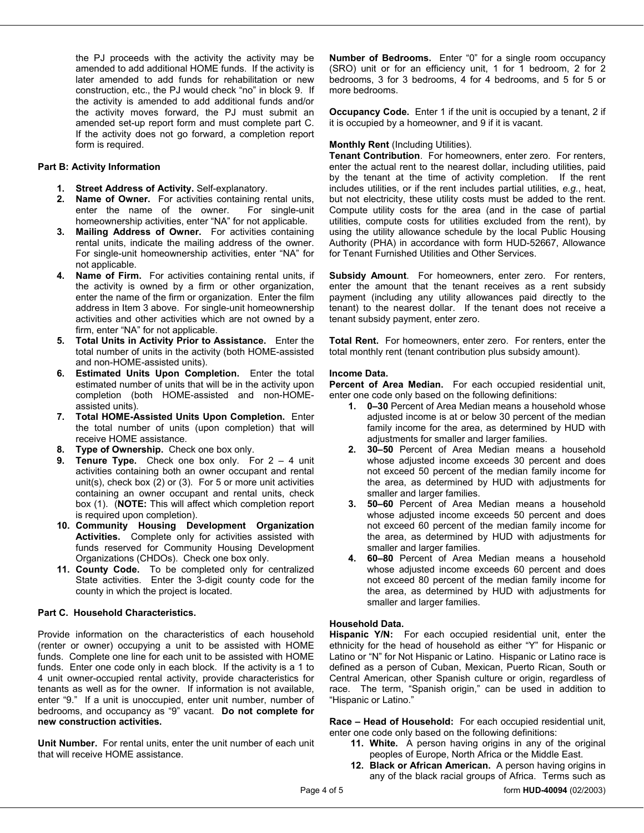the PJ proceeds with the activity the activity may be amended to add additional HOME funds. If the activity is later amended to add funds for rehabilitation or new construction, etc., the PJ would check "no" in block 9. If the activity is amended to add additional funds and/or the activity moves forward, the PJ must submit an amended set-up report form and must complete part C. If the activity does not go forward, a completion report form is required.

## **Part B: Activity Information**

- **1. Street Address of Activity.** Self-explanatory.
- **2. Name of Owner.** For activities containing rental units, enter the name of the owner. For single-unit homeownership activities, enter "NA" for not applicable.
- rental units, indicate the mailing address of the owner. **3. Mailing Address of Owner.** For activities containing For single-unit homeownership activities, enter "NA" for not applicable.
- activities and other activities which are not owned by a **4. Name of Firm.** For activities containing rental units, if the activity is owned by a firm or other organization, enter the name of the firm or organization. Enter the film address in Item 3 above. For single-unit homeownership firm, enter "NA" for not applicable.
- **5. Total Units in Activity Prior to Assistance.** Enter the total number of units in the activity (both HOME-assisted and non-HOME-assisted units).
- **6. Estimated Units Upon Completion.** Enter the total estimated number of units that will be in the activity upon completion (both HOME-assisted and non-HOMEassisted units).
- **7. Total HOME-Assisted Units Upon Completion.** Enter the total number of units (upon completion) that will receive HOME assistance.
- **Type of Ownership.** Check one box only.
- **9. Tenure Type.** Check one box only. For 2 4 unit  is required upon completion). activities containing both an owner occupant and rental unit(s), check box (2) or (3). For 5 or more unit activities containing an owner occupant and rental units, check box (1). (**NOTE:** This will affect which completion report
- **10. Community Housing Development Organization Activities.** Complete only for activities assisted with funds reserved for Community Housing Development Organizations (CHDOs). Check one box only.
- 11. County Code. To be completed only for centralized State activities. Enter the 3-digit county code for the county in which the project is located.

## **Part C. Household Characteristics.**

 funds. Complete one line for each unit to be assisted with HOME Provide information on the characteristics of each household (renter or owner) occupying a unit to be assisted with HOME funds. Enter one code only in each block. If the activity is a 1 to 4 unit owner-occupied rental activity, provide characteristics for tenants as well as for the owner. If information is not available, enter "9." If a unit is unoccupied, enter unit number, number of bedrooms, and occupancy as "9" vacant. **Do not complete for new construction activities.** 

**Unit Number.** For rental units, enter the unit number of each unit that will receive HOME assistance.

 **Number of Bedrooms.** Enter "0" for a single room occupancy (SRO) unit or for an efficiency unit, 1 for 1 bedroom, 2 for 2 bedrooms, 3 for 3 bedrooms, 4 for 4 bedrooms, and 5 for 5 or more bedrooms.

**Occupancy Code.** Enter 1 if the unit is occupied by a tenant, 2 if it is occupied by a homeowner, and 9 if it is vacant.

## **Monthly Rent** (Including Utilities).

 but not electricity, these utility costs must be added to the rent. **Tenant Contribution**. For homeowners, enter zero. For renters, enter the actual rent to the nearest dollar, including utilities, paid by the tenant at the time of activity completion. If the rent includes utilities, or if the rent includes partial utilities, *e.g.*, heat, Compute utility costs for the area (and in the case of partial utilities, compute costs for utilities excluded from the rent), by using the utility allowance schedule by the local Public Housing Authority (PHA) in accordance with form HUD-52667, Allowance for Tenant Furnished Utilities and Other Services.

**Subsidy Amount**. For homeowners, enter zero. For renters, enter the amount that the tenant receives as a rent subsidy payment (including any utility allowances paid directly to the tenant) to the nearest dollar. If the tenant does not receive a tenant subsidy payment, enter zero.

**Total Rent.** For homeowners, enter zero. For renters, enter the total monthly rent (tenant contribution plus subsidy amount).

## **Income Data.**

**Percent of Area Median.** For each occupied residential unit, enter one code only based on the following definitions:

- family income for the area, as determined by HUD with **1. 0–30** Percent of Area Median means a household whose adjusted income is at or below 30 percent of the median adjustments for smaller and larger families.
- **2. 30–50** Percent of Area Median means a household whose adjusted income exceeds 30 percent and does not exceed 50 percent of the median family income for the area, as determined by HUD with adjustments for smaller and larger families.
- **3. 50–60** Percent of Area Median means a household whose adjusted income exceeds 50 percent and does not exceed 60 percent of the median family income for the area, as determined by HUD with adjustments for smaller and larger families.
- **4. 60–80** Percent of Area Median means a household whose adjusted income exceeds 60 percent and does not exceed 80 percent of the median family income for the area, as determined by HUD with adjustments for smaller and larger families.

## **Household Data.**

**Hispanic Y/N:** For each occupied residential unit, enter the ethnicity for the head of household as either "Y" for Hispanic or Latino or "N" for Not Hispanic or Latino. Hispanic or Latino race is defined as a person of Cuban, Mexican, Puerto Rican, South or Central American, other Spanish culture or origin, regardless of race. The term, "Spanish origin," can be used in addition to "Hispanic or Latino."

**Race – Head of Household:** For each occupied residential unit, enter one code only based on the following definitions:

- **11. White.** A person having origins in any of the original peoples of Europe, North Africa or the Middle East.
- 12. Black or African American. A person having origins in any of the black racial groups of Africa. Terms such as